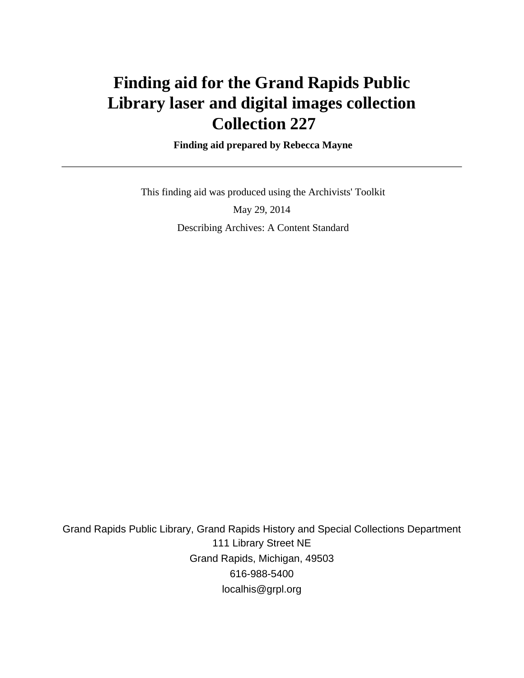# **Finding aid for the Grand Rapids Public Library laser and digital images collection Collection 227**

 **Finding aid prepared by Rebecca Mayne**

 This finding aid was produced using the Archivists' Toolkit May 29, 2014 Describing Archives: A Content Standard

Grand Rapids Public Library, Grand Rapids History and Special Collections Department 111 Library Street NE Grand Rapids, Michigan, 49503 616-988-5400 localhis@grpl.org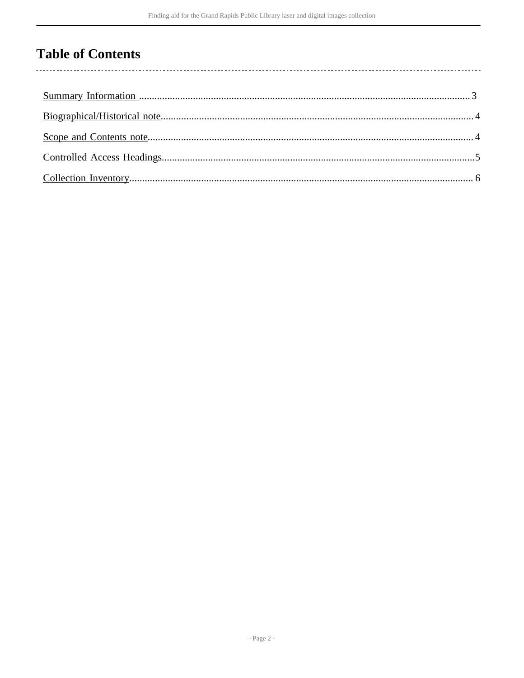## **Table of Contents**

l,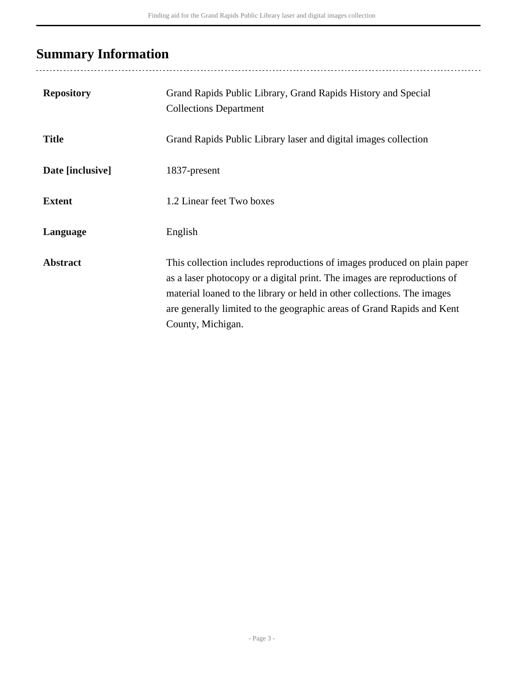# <span id="page-2-0"></span>**Summary Information**

| <b>Repository</b> | Grand Rapids Public Library, Grand Rapids History and Special<br><b>Collections Department</b>                                                                                                                                                                                                                                 |
|-------------------|--------------------------------------------------------------------------------------------------------------------------------------------------------------------------------------------------------------------------------------------------------------------------------------------------------------------------------|
| <b>Title</b>      | Grand Rapids Public Library laser and digital images collection                                                                                                                                                                                                                                                                |
| Date [inclusive]  | 1837-present                                                                                                                                                                                                                                                                                                                   |
| <b>Extent</b>     | 1.2 Linear feet Two boxes                                                                                                                                                                                                                                                                                                      |
| Language          | English                                                                                                                                                                                                                                                                                                                        |
| <b>Abstract</b>   | This collection includes reproductions of images produced on plain paper<br>as a laser photocopy or a digital print. The images are reproductions of<br>material loaned to the library or held in other collections. The images<br>are generally limited to the geographic areas of Grand Rapids and Kent<br>County, Michigan. |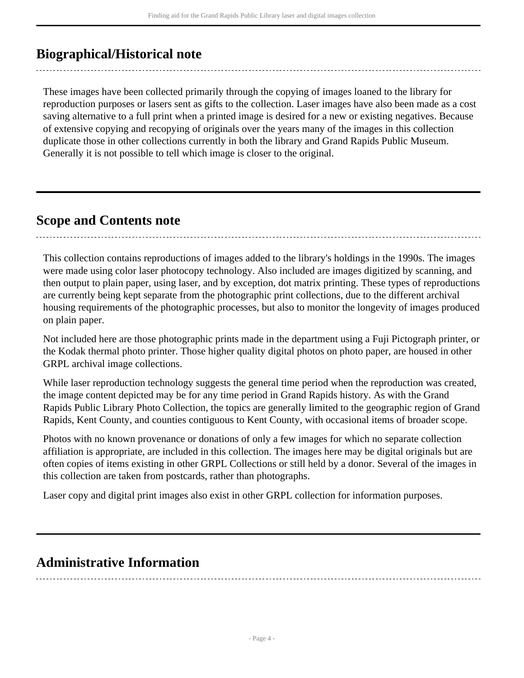## <span id="page-3-0"></span>**Biographical/Historical note**

These images have been collected primarily through the copying of images loaned to the library for reproduction purposes or lasers sent as gifts to the collection. Laser images have also been made as a cost saving alternative to a full print when a printed image is desired for a new or existing negatives. Because of extensive copying and recopying of originals over the years many of the images in this collection duplicate those in other collections currently in both the library and Grand Rapids Public Museum. Generally it is not possible to tell which image is closer to the original.

### <span id="page-3-1"></span>**Scope and Contents note**

This collection contains reproductions of images added to the library's holdings in the 1990s. The images were made using color laser photocopy technology. Also included are images digitized by scanning, and then output to plain paper, using laser, and by exception, dot matrix printing. These types of reproductions are currently being kept separate from the photographic print collections, due to the different archival housing requirements of the photographic processes, but also to monitor the longevity of images produced on plain paper.

Not included here are those photographic prints made in the department using a Fuji Pictograph printer, or the Kodak thermal photo printer. Those higher quality digital photos on photo paper, are housed in other GRPL archival image collections.

While laser reproduction technology suggests the general time period when the reproduction was created, the image content depicted may be for any time period in Grand Rapids history. As with the Grand Rapids Public Library Photo Collection, the topics are generally limited to the geographic region of Grand Rapids, Kent County, and counties contiguous to Kent County, with occasional items of broader scope.

Photos with no known provenance or donations of only a few images for which no separate collection affiliation is appropriate, are included in this collection. The images here may be digital originals but are often copies of items existing in other GRPL Collections or still held by a donor. Several of the images in this collection are taken from postcards, rather than photographs.

Laser copy and digital print images also exist in other GRPL collection for information purposes.

### **Administrative Information**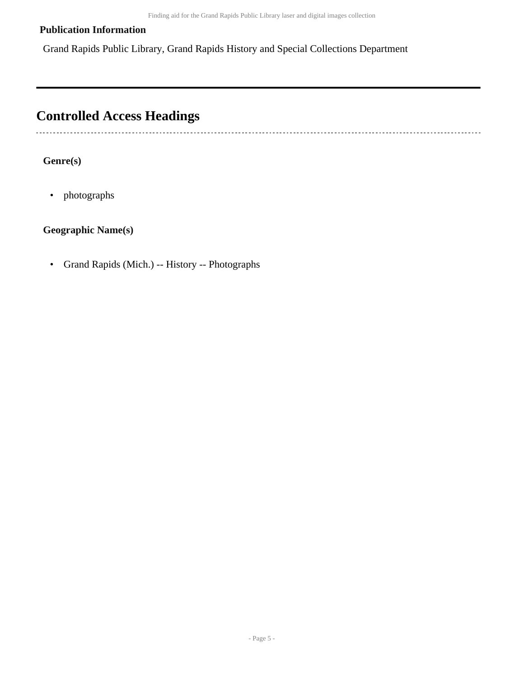### **Publication Information**

Grand Rapids Public Library, Grand Rapids History and Special Collections Department

## <span id="page-4-0"></span>**Controlled Access Headings**

### **Genre(s)**

• photographs

### **Geographic Name(s)**

• Grand Rapids (Mich.) -- History -- Photographs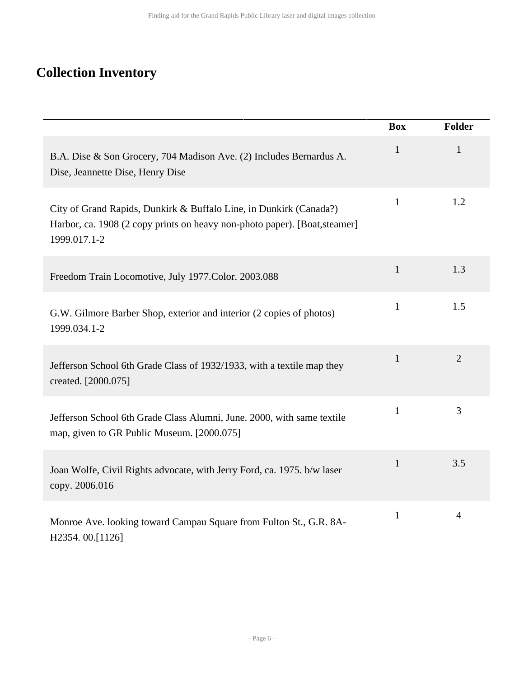# <span id="page-5-0"></span>**Collection Inventory**

|                                                                                                                                                                  | <b>Box</b>   | <b>Folder</b>  |
|------------------------------------------------------------------------------------------------------------------------------------------------------------------|--------------|----------------|
| B.A. Dise & Son Grocery, 704 Madison Ave. (2) Includes Bernardus A.<br>Dise, Jeannette Dise, Henry Dise                                                          | $\mathbf{1}$ | $\mathbf{1}$   |
| City of Grand Rapids, Dunkirk & Buffalo Line, in Dunkirk (Canada?)<br>Harbor, ca. 1908 (2 copy prints on heavy non-photo paper). [Boat, steamer]<br>1999.017.1-2 | $\mathbf{1}$ | 1.2            |
| Freedom Train Locomotive, July 1977.Color. 2003.088                                                                                                              | $\mathbf{1}$ | 1.3            |
| G.W. Gilmore Barber Shop, exterior and interior (2 copies of photos)<br>1999.034.1-2                                                                             | $\mathbf{1}$ | 1.5            |
| Jefferson School 6th Grade Class of 1932/1933, with a textile map they<br>created. [2000.075]                                                                    | $\mathbf{1}$ | $\overline{2}$ |
| Jefferson School 6th Grade Class Alumni, June. 2000, with same textile<br>map, given to GR Public Museum. [2000.075]                                             | $\mathbf{1}$ | 3              |
| Joan Wolfe, Civil Rights advocate, with Jerry Ford, ca. 1975. b/w laser<br>copy. 2006.016                                                                        | $\mathbf{1}$ | 3.5            |
| Monroe Ave. looking toward Campau Square from Fulton St., G.R. 8A-<br>H2354.00.[1126]                                                                            | $\mathbf{1}$ | $\overline{4}$ |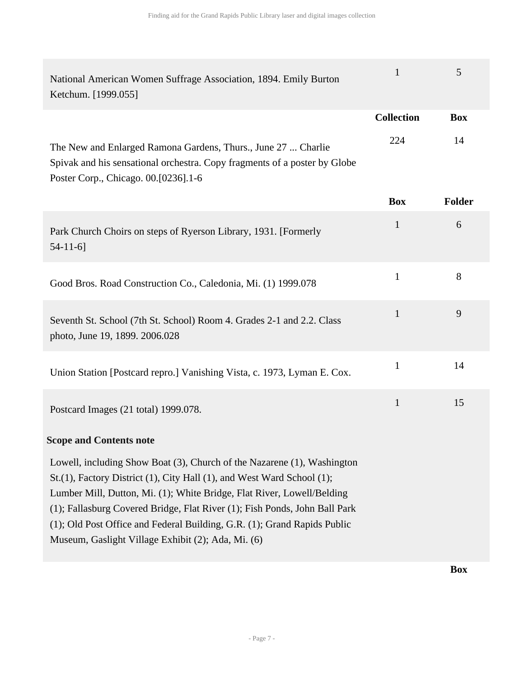| National American Women Suffrage Association, 1894. Emily Burton<br>Ketchum. [1999.055]                                                                                                                                                                                                                                                                                                                                                     | $\mathbf{1}$      | 5             |
|---------------------------------------------------------------------------------------------------------------------------------------------------------------------------------------------------------------------------------------------------------------------------------------------------------------------------------------------------------------------------------------------------------------------------------------------|-------------------|---------------|
|                                                                                                                                                                                                                                                                                                                                                                                                                                             | <b>Collection</b> | <b>Box</b>    |
| The New and Enlarged Ramona Gardens, Thurs., June 27  Charlie<br>Spivak and his sensational orchestra. Copy fragments of a poster by Globe<br>Poster Corp., Chicago. 00.[0236].1-6                                                                                                                                                                                                                                                          | 224               | 14            |
|                                                                                                                                                                                                                                                                                                                                                                                                                                             | <b>Box</b>        | <b>Folder</b> |
| Park Church Choirs on steps of Ryerson Library, 1931. [Formerly<br>$54-11-6$ ]                                                                                                                                                                                                                                                                                                                                                              | $\mathbf{1}$      | 6             |
| Good Bros. Road Construction Co., Caledonia, Mi. (1) 1999.078                                                                                                                                                                                                                                                                                                                                                                               | $\mathbf{1}$      | 8             |
| Seventh St. School (7th St. School) Room 4. Grades 2-1 and 2.2. Class<br>photo, June 19, 1899. 2006.028                                                                                                                                                                                                                                                                                                                                     | $\mathbf{1}$      | 9             |
| Union Station [Postcard repro.] Vanishing Vista, c. 1973, Lyman E. Cox.                                                                                                                                                                                                                                                                                                                                                                     | $\mathbf{1}$      | 14            |
| Postcard Images (21 total) 1999.078.                                                                                                                                                                                                                                                                                                                                                                                                        | $\mathbf{1}$      | 15            |
| <b>Scope and Contents note</b>                                                                                                                                                                                                                                                                                                                                                                                                              |                   |               |
| Lowell, including Show Boat (3), Church of the Nazarene (1), Washington<br>St.(1), Factory District (1), City Hall (1), and West Ward School (1);<br>Lumber Mill, Dutton, Mi. (1); White Bridge, Flat River, Lowell/Belding<br>(1); Fallasburg Covered Bridge, Flat River (1); Fish Ponds, John Ball Park<br>(1); Old Post Office and Federal Building, G.R. (1); Grand Rapids Public<br>Museum, Gaslight Village Exhibit (2); Ada, Mi. (6) |                   |               |

**Box**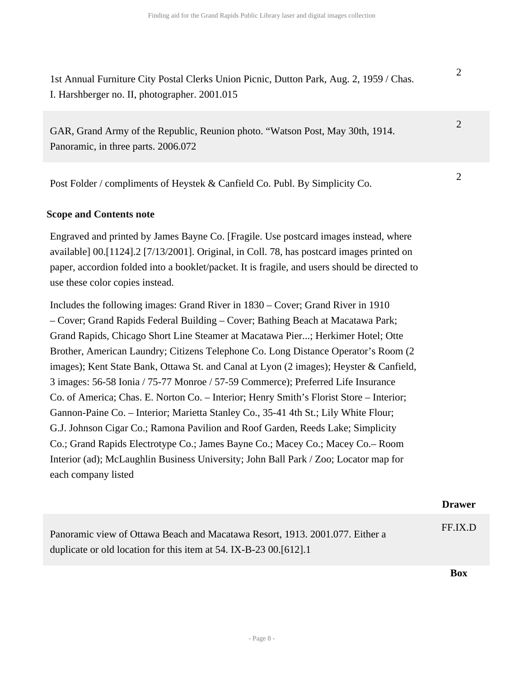2

2

1st Annual Furniture City Postal Clerks Union Picnic, Dutton Park, Aug. 2, 1959 / Chas. I. Harshberger no. II, photographer. 2001.015

GAR, Grand Army of the Republic, Reunion photo. "Watson Post, May 30th, 1914. Panoramic, in three parts. 2006.072

Post Folder / compliments of Heystek & Canfield Co. Publ. By Simplicity Co.

#### **Scope and Contents note**

Engraved and printed by James Bayne Co. [Fragile. Use postcard images instead, where available] 00.[1124].2 [7/13/2001]. Original, in Coll. 78, has postcard images printed on paper, accordion folded into a booklet/packet. It is fragile, and users should be directed to use these color copies instead.

Includes the following images: Grand River in 1830 – Cover; Grand River in 1910 – Cover; Grand Rapids Federal Building – Cover; Bathing Beach at Macatawa Park; Grand Rapids, Chicago Short Line Steamer at Macatawa Pier...; Herkimer Hotel; Otte Brother, American Laundry; Citizens Telephone Co. Long Distance Operator's Room (2 images); Kent State Bank, Ottawa St. and Canal at Lyon (2 images); Heyster & Canfield, 3 images: 56-58 Ionia / 75-77 Monroe / 57-59 Commerce); Preferred Life Insurance Co. of America; Chas. E. Norton Co. – Interior; Henry Smith's Florist Store – Interior; Gannon-Paine Co. – Interior; Marietta Stanley Co., 35-41 4th St.; Lily White Flour; G.J. Johnson Cigar Co.; Ramona Pavilion and Roof Garden, Reeds Lake; Simplicity Co.; Grand Rapids Electrotype Co.; James Bayne Co.; Macey Co.; Macey Co.– Room Interior (ad); McLaughlin Business University; John Ball Park / Zoo; Locator map for each company listed

|                                                                                                                                                     | <b>Drawer</b> |
|-----------------------------------------------------------------------------------------------------------------------------------------------------|---------------|
| Panoramic view of Ottawa Beach and Macatawa Resort, 1913. 2001.077. Either a<br>duplicate or old location for this item at 54. IX-B-23 00. [612]. 1 | FF.IX.D       |
|                                                                                                                                                     | Box           |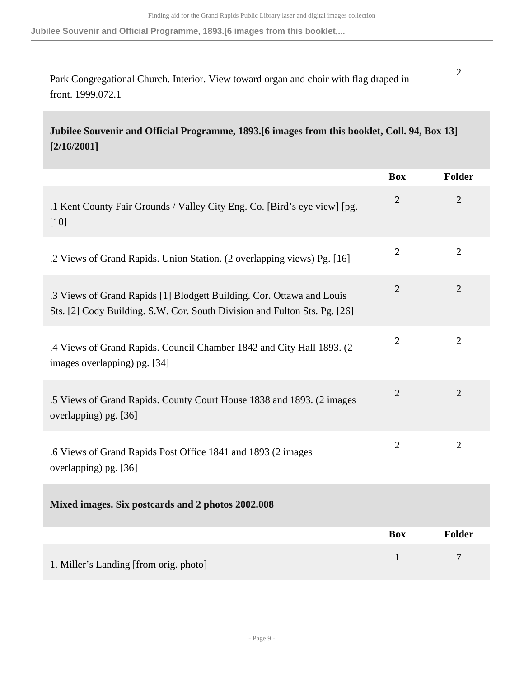**Jubilee Souvenir and Official Programme, 1893.[6 images from this booklet,...**

Park Congregational Church. Interior. View toward organ and choir with flag draped in front. 1999.072.1

**Jubilee Souvenir and Official Programme, 1893.[6 images from this booklet, Coll. 94, Box 13] [2/16/2001]** 

|                                                                                                                                                    | <b>Box</b>     | <b>Folder</b>  |
|----------------------------------------------------------------------------------------------------------------------------------------------------|----------------|----------------|
| .1 Kent County Fair Grounds / Valley City Eng. Co. [Bird's eye view] [pg.<br>$[10]$                                                                | $\overline{2}$ | $\overline{2}$ |
| .2 Views of Grand Rapids. Union Station. (2 overlapping views) Pg. [16]                                                                            | $\overline{2}$ | $\overline{2}$ |
| .3 Views of Grand Rapids [1] Blodgett Building. Cor. Ottawa and Louis<br>Sts. [2] Cody Building. S.W. Cor. South Division and Fulton Sts. Pg. [26] | $\overline{2}$ | $\overline{2}$ |
| .4 Views of Grand Rapids. Council Chamber 1842 and City Hall 1893. (2<br>images overlapping) pg. [34]                                              | $\overline{2}$ | $\overline{2}$ |
| .5 Views of Grand Rapids. County Court House 1838 and 1893. (2 images<br>overlapping) pg. [36]                                                     | $\overline{2}$ | $\overline{2}$ |
| .6 Views of Grand Rapids Post Office 1841 and 1893 (2 images<br>overlapping) pg. [36]                                                              | $\overline{2}$ | $\overline{2}$ |
| Mixed images. Six postcards and 2 photos 2002.008                                                                                                  |                |                |
|                                                                                                                                                    | <b>Box</b>     | Folder         |
| 1. Miller's Landing [from orig. photo]                                                                                                             | 1              | 7              |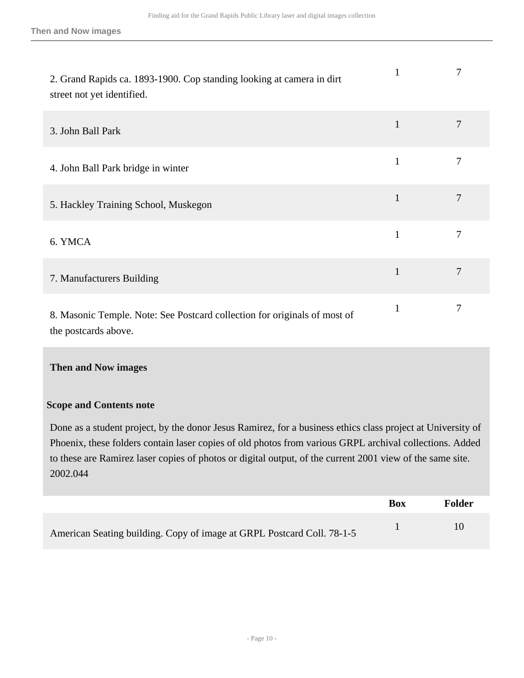| 2. Grand Rapids ca. 1893-1900. Cop standing looking at camera in dirt<br>street not yet identified. | 1            | 7              |
|-----------------------------------------------------------------------------------------------------|--------------|----------------|
| 3. John Ball Park                                                                                   | $\mathbf{1}$ | 7              |
| 4. John Ball Park bridge in winter                                                                  | $\mathbf{1}$ | 7              |
| 5. Hackley Training School, Muskegon                                                                | $\mathbf{1}$ | 7              |
| 6. YMCA                                                                                             | $\mathbf{1}$ | $\overline{7}$ |
| 7. Manufacturers Building                                                                           | $\mathbf{1}$ | 7              |
| 8. Masonic Temple. Note: See Postcard collection for originals of most of<br>the postcards above.   | $\mathbf{1}$ | 7              |

### **Then and Now images**

#### **Scope and Contents note**

Done as a student project, by the donor Jesus Ramirez, for a business ethics class project at University of Phoenix, these folders contain laser copies of old photos from various GRPL archival collections. Added to these are Ramirez laser copies of photos or digital output, of the current 2001 view of the same site. 2002.044

|                                                                        | <b>Box</b> | Folder |
|------------------------------------------------------------------------|------------|--------|
| American Seating building. Copy of image at GRPL Postcard Coll. 78-1-5 |            | 10     |